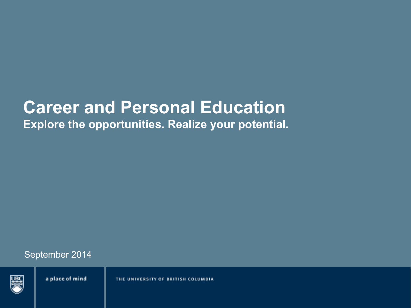# **Career and Personal Education**

**Explore the opportunities. Realize your potential.** 

September 2014

a place of mind

THE UNIVERSITY OF BRITISH COLUMBIA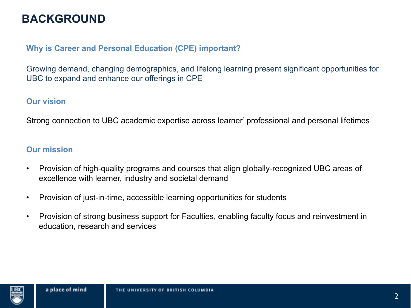### **BACKGROUND**

#### **Why is Career and Personal Education (CPE) important?**

Growing demand, changing demographics, and lifelong learning present significant opportunities for UBC to expand and enhance our offerings in CPE

#### **Our vision**

Strong connection to UBC academic expertise across learner' professional and personal lifetimes

#### **Our mission**

- Provision of high-quality programs and courses that align globally-recognized UBC areas of excellence with learner, industry and societal demand
- Provision of just-in-time, accessible learning opportunities for students
- Provision of strong business support for Faculties, enabling faculty focus and reinvestment in education, research and services

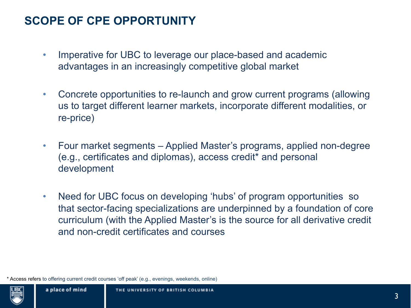### **SCOPE OF CPE OPPORTUNITY**

- Imperative for UBC to leverage our place-based and academic advantages in an increasingly competitive global market
- Concrete opportunities to re-launch and grow current programs (allowing us to target different learner markets, incorporate different modalities, or re-price)
- Four market segments Applied Master's programs, applied non-degree (e.g., certificates and diplomas), access credit\* and personal development
- Need for UBC focus on developing 'hubs' of program opportunities so that sector-facing specializations are underpinned by a foundation of core curriculum (with the Applied Master's is the source for all derivative credit and non-credit certificates and courses

\* Access refers to offering current credit courses 'off peak' (e.g., evenings, weekends, online)

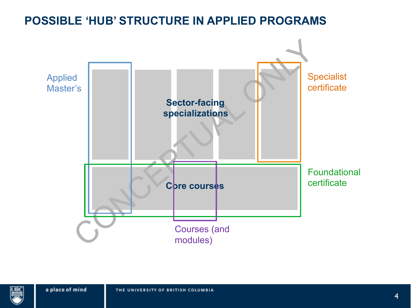## **POSSIBLE 'HUB' STRUCTURE IN APPLIED PROGRAMS C** pre courses Specialist certificate Applied Master's Foundational certificate Courses (and modules) **Sector-facing specializations**

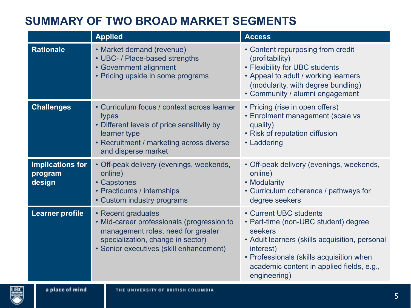### **SUMMARY OF TWO BROAD MARKET SEGMENTS**

|                                              | <b>Applied</b>                                                                                                                                                                         | <b>Access</b>                                                                                                                                                                                                                                     |
|----------------------------------------------|----------------------------------------------------------------------------------------------------------------------------------------------------------------------------------------|---------------------------------------------------------------------------------------------------------------------------------------------------------------------------------------------------------------------------------------------------|
| <b>Rationale</b>                             | • Market demand (revenue)<br>• UBC- / Place-based strengths<br>• Government alignment<br>• Pricing upside in some programs                                                             | • Content repurposing from credit<br>(profitability)<br>• Flexibility for UBC students<br>• Appeal to adult / working learners<br>(modularity, with degree bundling)<br>• Community / alumni engagement                                           |
| <b>Challenges</b>                            | • Curriculum focus / context across learner<br>types<br>• Different levels of price sensitivity by<br>learner type<br>• Recruitment / marketing across diverse<br>and disperse market  | • Pricing (rise in open offers)<br>• Enrolment management (scale vs<br>quality)<br>• Risk of reputation diffusion<br>• Laddering                                                                                                                  |
| <b>Implications for</b><br>program<br>design | • Off-peak delivery (evenings, weekends,<br>online)<br>• Capstones<br>• Practicums / internships<br>• Custom industry programs                                                         | • Off-peak delivery (evenings, weekends,<br>online)<br>• Modularity<br>• Curriculum coherence / pathways for<br>degree seekers                                                                                                                    |
| <b>Learner profile</b>                       | • Recent graduates<br>• Mid-career professionals (progression to<br>management roles, need for greater<br>specialization, change in sector)<br>• Senior executives (skill enhancement) | • Current UBC students<br>• Part-time (non-UBC student) degree<br>seekers<br>• Adult learners (skills acquisition, personal<br>interest)<br>• Professionals (skills acquisition when<br>academic content in applied fields, e.g.,<br>engineering) |
|                                              |                                                                                                                                                                                        |                                                                                                                                                                                                                                                   |

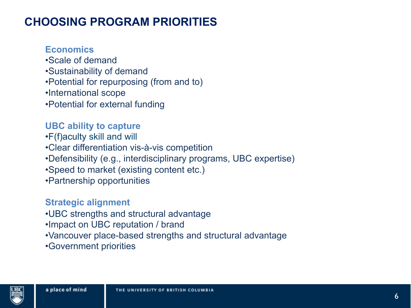### **CHOOSING PROGRAM PRIORITIES**

**Economics**

- •Scale of demand
- •Sustainability of demand
- •Potential for repurposing (from and to)
- •International scope
- •Potential for external funding

**UBC ability to capture** 

- •F(f)aculty skill and will
- •Clear differentiation vis-à-vis competition
- •Defensibility (e.g., interdisciplinary programs, UBC expertise)
- •Speed to market (existing content etc.)
- •Partnership opportunities

#### **Strategic alignment**

- •UBC strengths and structural advantage
- •Impact on UBC reputation / brand
- •Vancouver place-based strengths and structural advantage
- •Government priorities

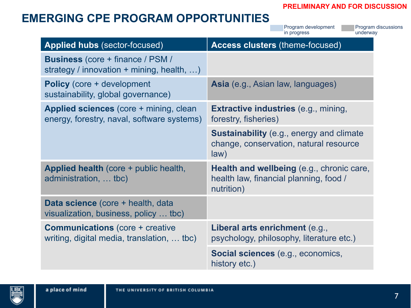#### **PRELIMINARY AND FOR DISCUSSION**

### **EMERGING CPE PROGRAM OPPORTUNITIES**

**Applied hubs** (sector-focused) **Access clusters** (theme-focused) **Business** (core + finance / PSM / strategy / innovation + mining, health, ...) **Policy** (core + development sustainability, global governance) **Asia** (e.g., Asian law, languages) **Applied sciences** (core + mining, clean energy, forestry, naval, software systems) **Extractive industries** (e.g., mining, forestry, fisheries) **Sustainability** (e.g., energy and climate change, conservation, natural resource law) **Applied health** (core + public health, administration, … tbc) **Health and wellbeing** (e.g., chronic care, health law, financial planning, food / nutrition) **Data science** (core + health, data visualization, business, policy … tbc) **Communications** (core + creative writing, digital media, translation, … tbc) **Liberal arts enrichment** (e.g., psychology, philosophy, literature etc.) Program development in progress Program discussions underway

**Social sciences** (e.g., economics, history etc.)

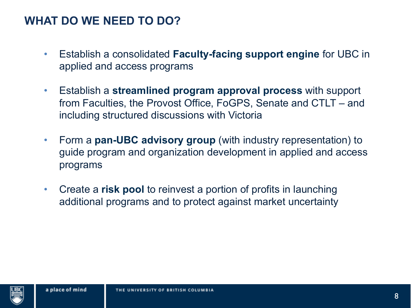#### **WHAT DO WE NEED TO DO?**

- Establish a consolidated **Faculty-facing support engine** for UBC in applied and access programs
- Establish a **streamlined program approval process** with support from Faculties, the Provost Office, FoGPS, Senate and CTLT – and including structured discussions with Victoria
- Form a **pan-UBC advisory group** (with industry representation) to guide program and organization development in applied and access programs
- Create a **risk pool** to reinvest a portion of profits in launching additional programs and to protect against market uncertainty

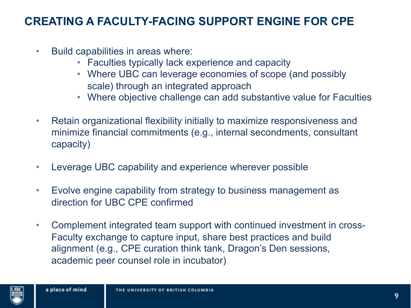#### **CREATING A FACULTY-FACING SUPPORT ENGINE FOR CPE**

- Build capabilities in areas where:
	- Faculties typically lack experience and capacity
	- Where UBC can leverage economies of scope (and possibly scale) through an integrated approach
	- Where objective challenge can add substantive value for Faculties
- Retain organizational flexibility initially to maximize responsiveness and minimize financial commitments (e.g., internal secondments, consultant capacity)
- Leverage UBC capability and experience wherever possible
- Evolve engine capability from strategy to business management as direction for UBC CPE confirmed
- Complement integrated team support with continued investment in cross-Faculty exchange to capture input, share best practices and build alignment (e.g., CPE curation think tank, Dragon's Den sessions, academic peer counsel role in incubator)